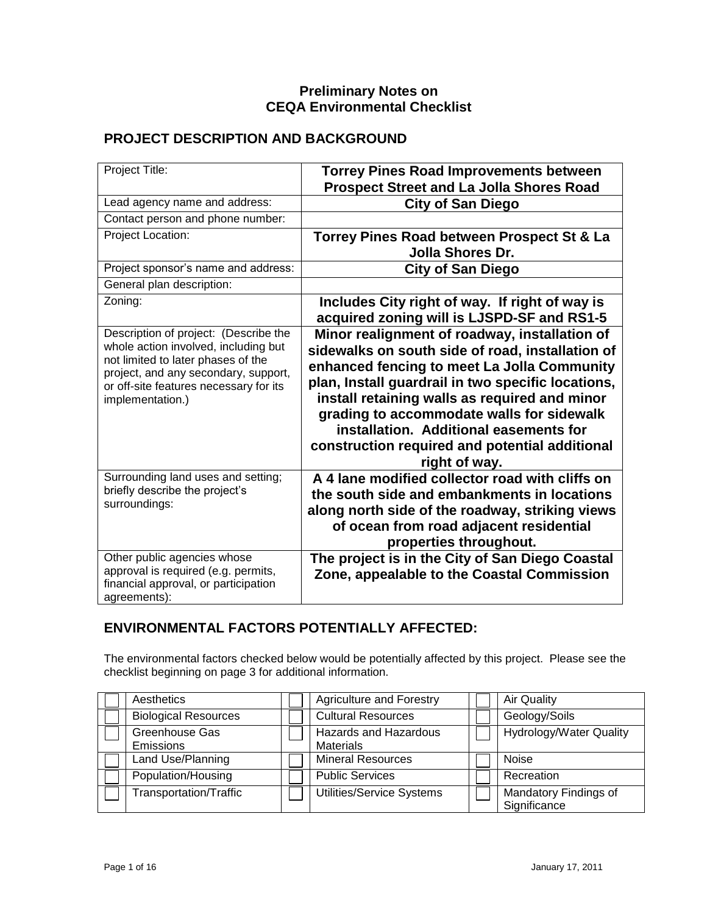#### **Preliminary Notes on CEQA Environmental Checklist**

#### **PROJECT DESCRIPTION AND BACKGROUND**

| Project Title:                                                                                                                                                                                                            | <b>Torrey Pines Road Improvements between</b><br><b>Prospect Street and La Jolla Shores Road</b>                                                                                                                                                                                                                                                                                                                  |
|---------------------------------------------------------------------------------------------------------------------------------------------------------------------------------------------------------------------------|-------------------------------------------------------------------------------------------------------------------------------------------------------------------------------------------------------------------------------------------------------------------------------------------------------------------------------------------------------------------------------------------------------------------|
| Lead agency name and address:                                                                                                                                                                                             | <b>City of San Diego</b>                                                                                                                                                                                                                                                                                                                                                                                          |
| Contact person and phone number:                                                                                                                                                                                          |                                                                                                                                                                                                                                                                                                                                                                                                                   |
| Project Location:                                                                                                                                                                                                         | Torrey Pines Road between Prospect St & La<br>Jolla Shores Dr.                                                                                                                                                                                                                                                                                                                                                    |
| Project sponsor's name and address:                                                                                                                                                                                       | <b>City of San Diego</b>                                                                                                                                                                                                                                                                                                                                                                                          |
| General plan description:                                                                                                                                                                                                 |                                                                                                                                                                                                                                                                                                                                                                                                                   |
| Zoning:                                                                                                                                                                                                                   | Includes City right of way. If right of way is<br>acquired zoning will is LJSPD-SF and RS1-5                                                                                                                                                                                                                                                                                                                      |
| Description of project: (Describe the<br>whole action involved, including but<br>not limited to later phases of the<br>project, and any secondary, support,<br>or off-site features necessary for its<br>implementation.) | Minor realignment of roadway, installation of<br>sidewalks on south side of road, installation of<br>enhanced fencing to meet La Jolla Community<br>plan, Install guardrail in two specific locations,<br>install retaining walls as required and minor<br>grading to accommodate walls for sidewalk<br>installation. Additional easements for<br>construction required and potential additional<br>right of way. |
| Surrounding land uses and setting;<br>briefly describe the project's<br>surroundings:                                                                                                                                     | A 4 lane modified collector road with cliffs on<br>the south side and embankments in locations<br>along north side of the roadway, striking views<br>of ocean from road adjacent residential<br>properties throughout.                                                                                                                                                                                            |
| Other public agencies whose<br>approval is required (e.g. permits,<br>financial approval, or participation<br>agreements):                                                                                                | The project is in the City of San Diego Coastal<br>Zone, appealable to the Coastal Commission                                                                                                                                                                                                                                                                                                                     |

#### **ENVIRONMENTAL FACTORS POTENTIALLY AFFECTED:**

The environmental factors checked below would be potentially affected by this project. Please see the checklist beginning on page 3 for additional information.

| Aesthetics                    | <b>Agriculture and Forestry</b>                  | <b>Air Quality</b>                    |
|-------------------------------|--------------------------------------------------|---------------------------------------|
| <b>Biological Resources</b>   | <b>Cultural Resources</b>                        | Geology/Soils                         |
| Greenhouse Gas<br>Emissions   | <b>Hazards and Hazardous</b><br><b>Materials</b> | <b>Hydrology/Water Quality</b>        |
| Land Use/Planning             | <b>Mineral Resources</b>                         | <b>Noise</b>                          |
| Population/Housing            | <b>Public Services</b>                           | Recreation                            |
| <b>Transportation/Traffic</b> | Utilities/Service Systems                        | Mandatory Findings of<br>Significance |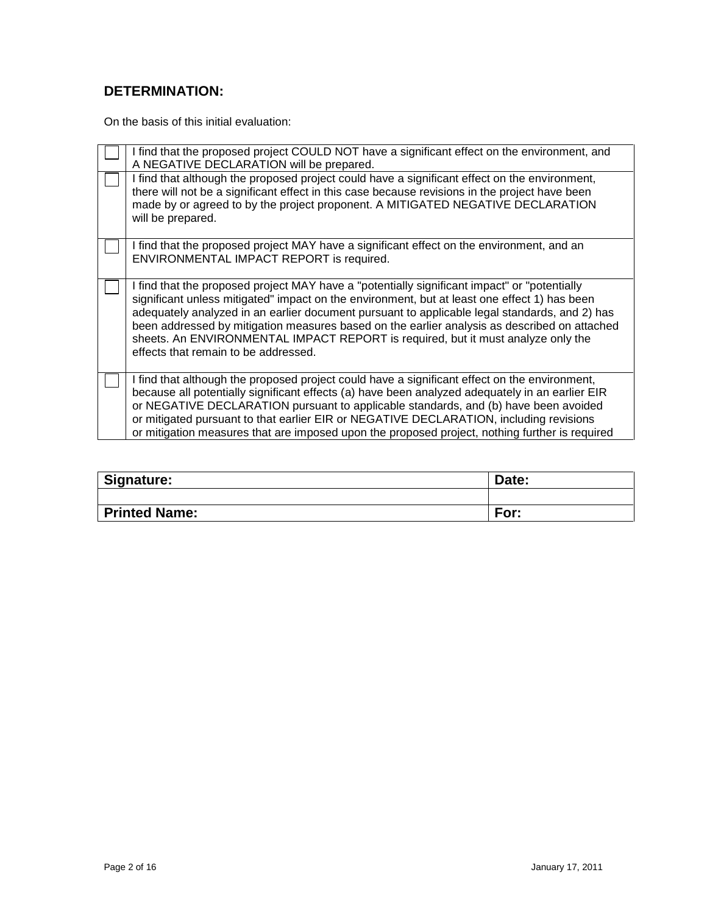#### **DETERMINATION:**

On the basis of this initial evaluation:

| I find that the proposed project COULD NOT have a significant effect on the environment, and<br>A NEGATIVE DECLARATION will be prepared.                                                                                                                                                                                                                                                                                                                                                                                  |
|---------------------------------------------------------------------------------------------------------------------------------------------------------------------------------------------------------------------------------------------------------------------------------------------------------------------------------------------------------------------------------------------------------------------------------------------------------------------------------------------------------------------------|
| I find that although the proposed project could have a significant effect on the environment,<br>there will not be a significant effect in this case because revisions in the project have been<br>made by or agreed to by the project proponent. A MITIGATED NEGATIVE DECLARATION<br>will be prepared.                                                                                                                                                                                                                   |
| I find that the proposed project MAY have a significant effect on the environment, and an<br>ENVIRONMENTAL IMPACT REPORT is required.                                                                                                                                                                                                                                                                                                                                                                                     |
| I find that the proposed project MAY have a "potentially significant impact" or "potentially<br>significant unless mitigated" impact on the environment, but at least one effect 1) has been<br>adequately analyzed in an earlier document pursuant to applicable legal standards, and 2) has<br>been addressed by mitigation measures based on the earlier analysis as described on attached<br>sheets. An ENVIRONMENTAL IMPACT REPORT is required, but it must analyze only the<br>effects that remain to be addressed. |
| I find that although the proposed project could have a significant effect on the environment,<br>because all potentially significant effects (a) have been analyzed adequately in an earlier EIR<br>or NEGATIVE DECLARATION pursuant to applicable standards, and (b) have been avoided<br>or mitigated pursuant to that earlier EIR or NEGATIVE DECLARATION, including revisions<br>or mitigation measures that are imposed upon the proposed project, nothing further is required                                       |

| Signature:           | Date: |
|----------------------|-------|
|                      |       |
| <b>Printed Name:</b> | For:  |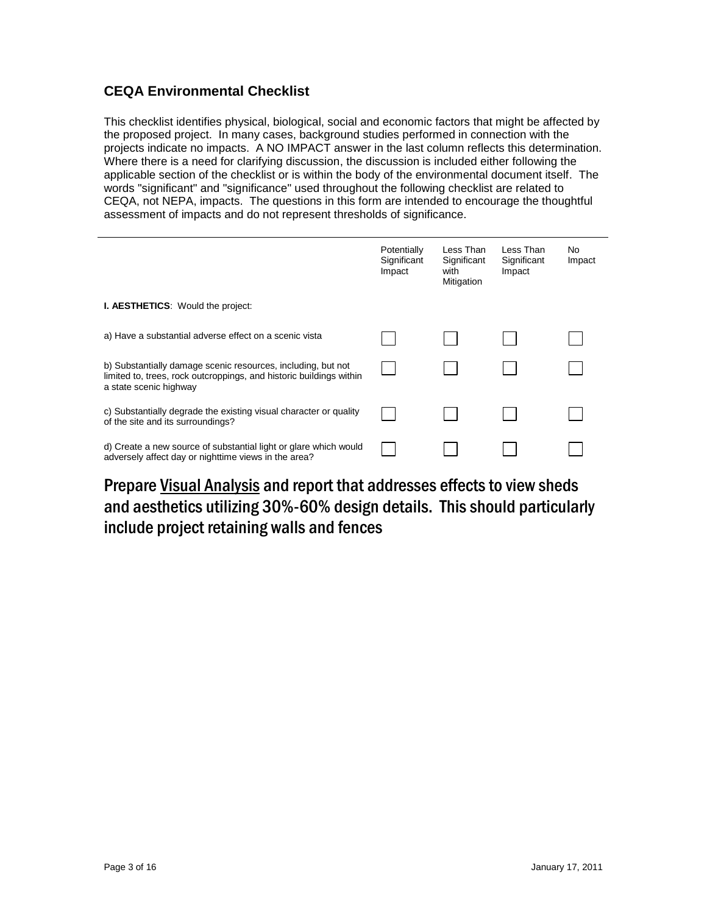#### **CEQA Environmental Checklist**

This checklist identifies physical, biological, social and economic factors that might be affected by the proposed project. In many cases, background studies performed in connection with the projects indicate no impacts. A NO IMPACT answer in the last column reflects this determination. Where there is a need for clarifying discussion, the discussion is included either following the applicable section of the checklist or is within the body of the environmental document itself. The words "significant" and "significance" used throughout the following checklist are related to CEQA, not NEPA, impacts. The questions in this form are intended to encourage the thoughtful assessment of impacts and do not represent thresholds of significance.

|                                                                                                                                                               | Potentially<br>Significant<br>Impact | Less Than<br>Significant<br>with<br>Mitigation | Less Than<br>Significant<br>Impact | No.<br>Impact |
|---------------------------------------------------------------------------------------------------------------------------------------------------------------|--------------------------------------|------------------------------------------------|------------------------------------|---------------|
| <b>I. AESTHETICS:</b> Would the project:                                                                                                                      |                                      |                                                |                                    |               |
| a) Have a substantial adverse effect on a scenic vista                                                                                                        |                                      |                                                |                                    |               |
| b) Substantially damage scenic resources, including, but not<br>limited to, trees, rock outcroppings, and historic buildings within<br>a state scenic highway |                                      |                                                |                                    |               |
| c) Substantially degrade the existing visual character or quality<br>of the site and its surroundings?                                                        |                                      |                                                |                                    |               |
| d) Create a new source of substantial light or glare which would<br>adversely affect day or nighttime views in the area?                                      |                                      |                                                |                                    |               |

Prepare Visual Analysis and report that addresses effects to view sheds and aesthetics utilizing 30%-60% design details. This should particularly include project retaining walls and fences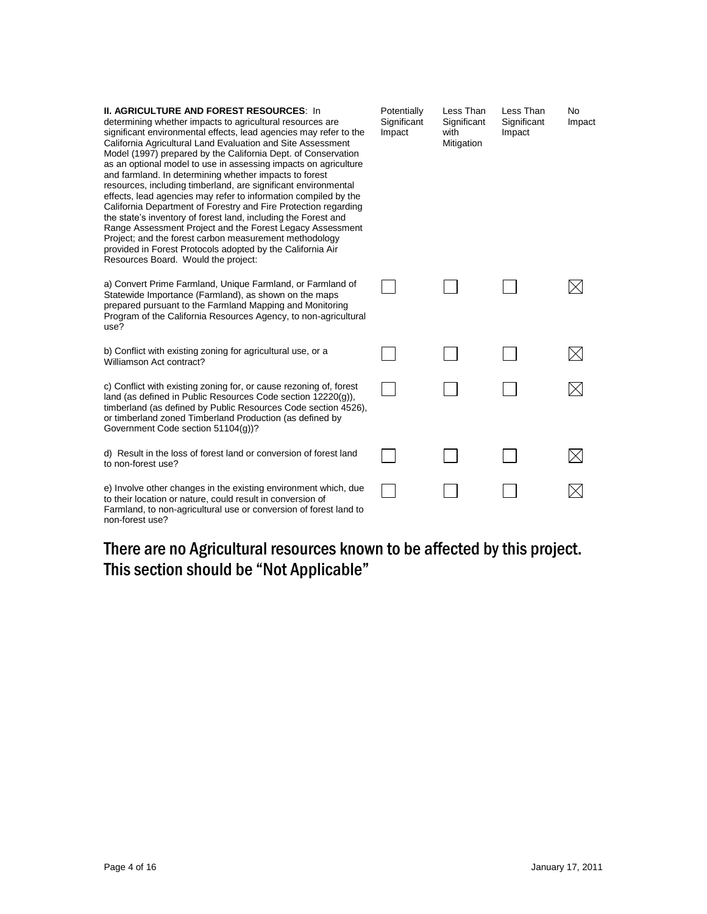| <b>II. AGRICULTURE AND FOREST RESOURCES: In</b><br>determining whether impacts to agricultural resources are<br>significant environmental effects, lead agencies may refer to the<br>California Agricultural Land Evaluation and Site Assessment<br>Model (1997) prepared by the California Dept. of Conservation<br>as an optional model to use in assessing impacts on agriculture<br>and farmland. In determining whether impacts to forest<br>resources, including timberland, are significant environmental<br>effects, lead agencies may refer to information compiled by the<br>California Department of Forestry and Fire Protection regarding<br>the state's inventory of forest land, including the Forest and<br>Range Assessment Project and the Forest Legacy Assessment<br>Project; and the forest carbon measurement methodology<br>provided in Forest Protocols adopted by the California Air<br>Resources Board. Would the project: | Potentially<br>Significant<br>Impact | Less Than<br>Significant<br>with<br>Mitigation | Less Than<br>Significant<br>Impact | <b>No</b><br>Impact |
|------------------------------------------------------------------------------------------------------------------------------------------------------------------------------------------------------------------------------------------------------------------------------------------------------------------------------------------------------------------------------------------------------------------------------------------------------------------------------------------------------------------------------------------------------------------------------------------------------------------------------------------------------------------------------------------------------------------------------------------------------------------------------------------------------------------------------------------------------------------------------------------------------------------------------------------------------|--------------------------------------|------------------------------------------------|------------------------------------|---------------------|
| a) Convert Prime Farmland, Unique Farmland, or Farmland of<br>Statewide Importance (Farmland), as shown on the maps<br>prepared pursuant to the Farmland Mapping and Monitoring<br>Program of the California Resources Agency, to non-agricultural<br>use?                                                                                                                                                                                                                                                                                                                                                                                                                                                                                                                                                                                                                                                                                           |                                      |                                                |                                    |                     |
| b) Conflict with existing zoning for agricultural use, or a<br>Williamson Act contract?                                                                                                                                                                                                                                                                                                                                                                                                                                                                                                                                                                                                                                                                                                                                                                                                                                                              |                                      |                                                |                                    |                     |
| c) Conflict with existing zoning for, or cause rezoning of, forest<br>land (as defined in Public Resources Code section 12220(g)),<br>timberland (as defined by Public Resources Code section 4526),<br>or timberland zoned Timberland Production (as defined by<br>Government Code section 51104(g))?                                                                                                                                                                                                                                                                                                                                                                                                                                                                                                                                                                                                                                               |                                      |                                                |                                    |                     |
| d) Result in the loss of forest land or conversion of forest land<br>to non-forest use?                                                                                                                                                                                                                                                                                                                                                                                                                                                                                                                                                                                                                                                                                                                                                                                                                                                              |                                      |                                                |                                    |                     |
| e) Involve other changes in the existing environment which, due<br>to their location or nature, could result in conversion of<br>Farmland, to non-agricultural use or conversion of forest land to<br>non-forest use?                                                                                                                                                                                                                                                                                                                                                                                                                                                                                                                                                                                                                                                                                                                                |                                      |                                                |                                    |                     |

# There are no Agricultural resources known to be affected by this project. This section should be "Not Applicable"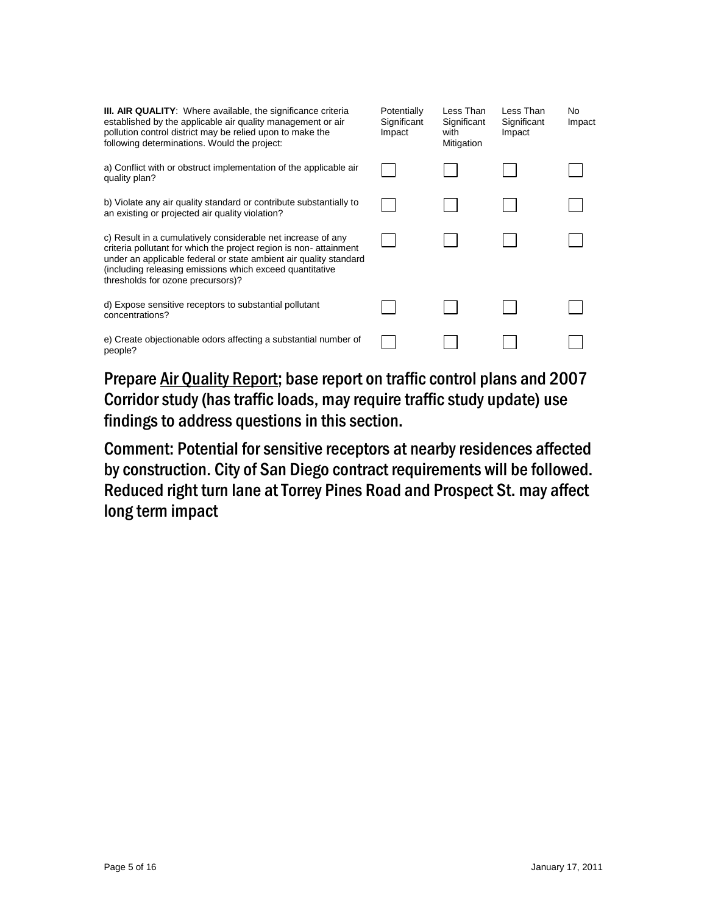| <b>III. AIR QUALITY:</b> Where available, the significance criteria<br>established by the applicable air quality management or air<br>pollution control district may be relied upon to make the<br>following determinations. Would the project:                                                         | Potentially<br>Significant<br>Impact | Less Than<br>Significant<br>with<br>Mitigation | Less Than<br>Significant<br>Impact | No.<br>Impact |
|---------------------------------------------------------------------------------------------------------------------------------------------------------------------------------------------------------------------------------------------------------------------------------------------------------|--------------------------------------|------------------------------------------------|------------------------------------|---------------|
| a) Conflict with or obstruct implementation of the applicable air<br>quality plan?                                                                                                                                                                                                                      |                                      |                                                |                                    |               |
| b) Violate any air quality standard or contribute substantially to<br>an existing or projected air quality violation?                                                                                                                                                                                   |                                      |                                                |                                    |               |
| c) Result in a cumulatively considerable net increase of any<br>criteria pollutant for which the project region is non-attainment<br>under an applicable federal or state ambient air quality standard<br>(including releasing emissions which exceed quantitative<br>thresholds for ozone precursors)? |                                      |                                                |                                    |               |
| d) Expose sensitive receptors to substantial pollutant<br>concentrations?                                                                                                                                                                                                                               |                                      |                                                |                                    |               |
| e) Create objectionable odors affecting a substantial number of<br>people?                                                                                                                                                                                                                              |                                      |                                                |                                    |               |

Prepare Air Quality Report; base report on traffic control plans and 2007 Corridor study (has traffic loads, may require traffic study update) use findings to address questions in this section.

Comment: Potential for sensitive receptors at nearby residences affected by construction. City of San Diego contract requirements will be followed. Reduced right turn lane at Torrey Pines Road and Prospect St. may affect long term impact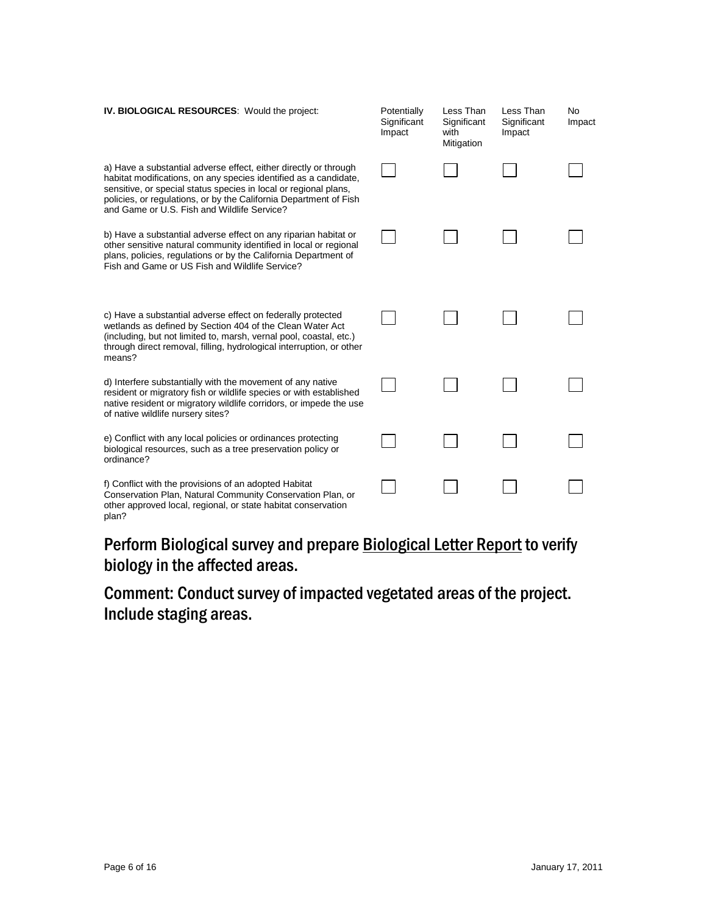| IV. BIOLOGICAL RESOURCES: Would the project:                                                                                                                                                                                                                                                                                 | Potentially<br>Significant<br>Impact | Less Than<br>Significant<br>with<br>Mitigation | Less Than<br>Significant<br>Impact | No<br>Impact |
|------------------------------------------------------------------------------------------------------------------------------------------------------------------------------------------------------------------------------------------------------------------------------------------------------------------------------|--------------------------------------|------------------------------------------------|------------------------------------|--------------|
| a) Have a substantial adverse effect, either directly or through<br>habitat modifications, on any species identified as a candidate,<br>sensitive, or special status species in local or regional plans,<br>policies, or regulations, or by the California Department of Fish<br>and Game or U.S. Fish and Wildlife Service? |                                      |                                                |                                    |              |
| b) Have a substantial adverse effect on any riparian habitat or<br>other sensitive natural community identified in local or regional<br>plans, policies, regulations or by the California Department of<br>Fish and Game or US Fish and Wildlife Service?                                                                    |                                      |                                                |                                    |              |
| c) Have a substantial adverse effect on federally protected<br>wetlands as defined by Section 404 of the Clean Water Act<br>(including, but not limited to, marsh, vernal pool, coastal, etc.)<br>through direct removal, filling, hydrological interruption, or other<br>means?                                             |                                      |                                                |                                    |              |
| d) Interfere substantially with the movement of any native<br>resident or migratory fish or wildlife species or with established<br>native resident or migratory wildlife corridors, or impede the use<br>of native wildlife nursery sites?                                                                                  |                                      |                                                |                                    |              |
| e) Conflict with any local policies or ordinances protecting<br>biological resources, such as a tree preservation policy or<br>ordinance?                                                                                                                                                                                    |                                      |                                                |                                    |              |
| f) Conflict with the provisions of an adopted Habitat<br>Conservation Plan, Natural Community Conservation Plan, or<br>other approved local, regional, or state habitat conservation<br>plan?                                                                                                                                |                                      |                                                |                                    |              |

Perform Biological survey and prepare Biological Letter Report to verify biology in the affected areas.

Comment: Conduct survey of impacted vegetated areas of the project. Include staging areas.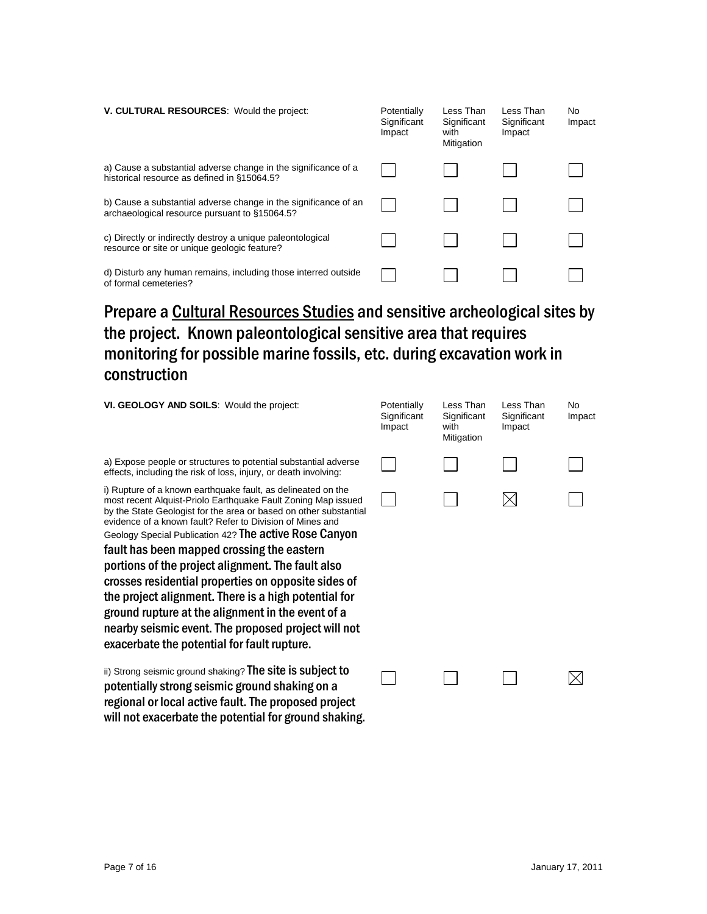| V. CULTURAL RESOURCES: Would the project:                                                                        | Potentially<br>Significant<br>Impact | Less Than<br>Significant<br>with<br>Mitigation | Less Than<br>Significant<br>Impact | No.<br>Impact |
|------------------------------------------------------------------------------------------------------------------|--------------------------------------|------------------------------------------------|------------------------------------|---------------|
| a) Cause a substantial adverse change in the significance of a<br>historical resource as defined in §15064.5?    |                                      |                                                |                                    |               |
| b) Cause a substantial adverse change in the significance of an<br>archaeological resource pursuant to §15064.5? |                                      |                                                |                                    |               |
| c) Directly or indirectly destroy a unique paleontological<br>resource or site or unique geologic feature?       |                                      |                                                |                                    |               |
| d) Disturb any human remains, including those interred outside<br>of formal cemeteries?                          |                                      |                                                |                                    |               |

# Prepare a Cultural Resources Studies and sensitive archeological sites by the project. Known paleontological sensitive area that requires monitoring for possible marine fossils, etc. during excavation work in construction

| VI. GEOLOGY AND SOILS: Would the project:                                                                                                                                                                                                                                                                                                                                                                                                                                                                                                                                                                                                                                                              | Potentially<br>Significant<br>Impact | Less Than<br>Significant<br>with<br>Mitigation | Less Than<br>Significant<br>Impact | No<br>Impact |
|--------------------------------------------------------------------------------------------------------------------------------------------------------------------------------------------------------------------------------------------------------------------------------------------------------------------------------------------------------------------------------------------------------------------------------------------------------------------------------------------------------------------------------------------------------------------------------------------------------------------------------------------------------------------------------------------------------|--------------------------------------|------------------------------------------------|------------------------------------|--------------|
| a) Expose people or structures to potential substantial adverse<br>effects, including the risk of loss, injury, or death involving:                                                                                                                                                                                                                                                                                                                                                                                                                                                                                                                                                                    |                                      |                                                |                                    |              |
| i) Rupture of a known earthquake fault, as delineated on the<br>most recent Alquist-Priolo Earthquake Fault Zoning Map issued<br>by the State Geologist for the area or based on other substantial<br>evidence of a known fault? Refer to Division of Mines and<br>Geology Special Publication 42? The active Rose Canyon<br>fault has been mapped crossing the eastern<br>portions of the project alignment. The fault also<br>crosses residential properties on opposite sides of<br>the project alignment. There is a high potential for<br>ground rupture at the alignment in the event of a<br>nearby seismic event. The proposed project will not<br>exacerbate the potential for fault rupture. |                                      |                                                |                                    |              |
| ii) Strong seismic ground shaking? The site is subject to<br>potentially strong seismic ground shaking on a<br>regional or local active fault. The proposed project                                                                                                                                                                                                                                                                                                                                                                                                                                                                                                                                    |                                      |                                                |                                    |              |

will not exacerbate the potential for ground shaking.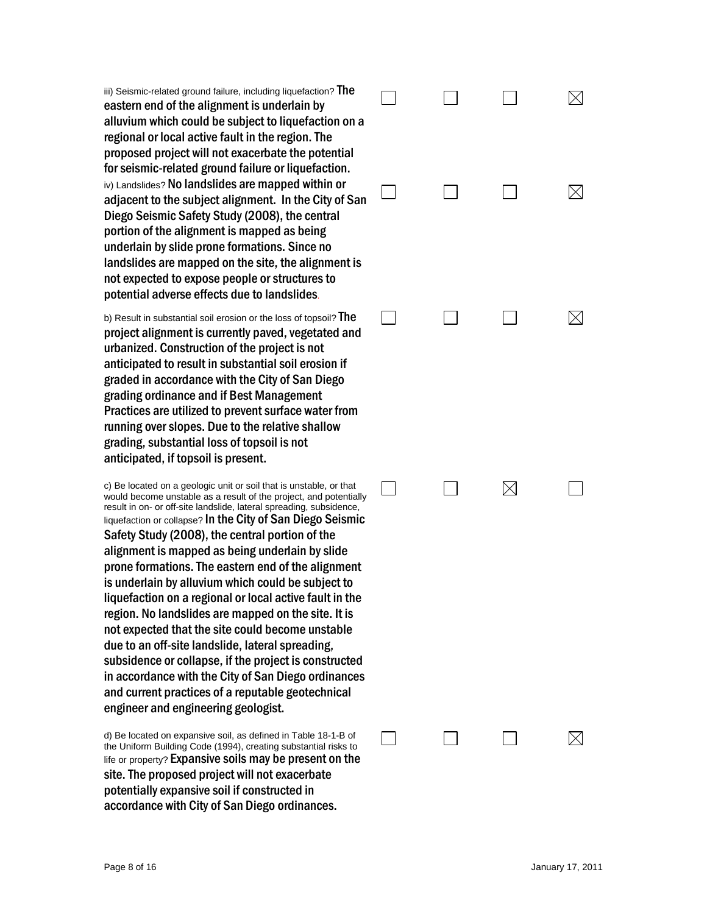iii) Seismic-related ground failure, including liquefaction? The eastern end of the alignment is underlain by alluvium which could be subject to liquefaction on a regional or local active fault in the region. The proposed project will not exacerbate the potential for seismic -related ground failure or liquefaction. iv) Landslides? No landslides are mapped within or adjacent to the subject alignment. In the City of San Diego Seismic Safety Study (2008), the central portion of the alignment is mapped as being underlain by slide prone formations. Since no landslides are mapped on the site, the alignment is not expected to expose people or structures to potential adverse effects due to landslides.

b) Result in substantial soil erosion or the loss of topsoil?  $The$ project alig nment is currently paved, vegetated and urbanized. Construction of the project is not antic ipated to result in substantial soil erosion if graded in acco rdance with the City of San Diego grading ordinance and if Best Management Pra ctices are utilized to prevent surface water from running over slopes. Due to the relative shallow grading, substantial loss of topsoil is not<br>anticipated, if topsoil is present.

c) Be located on a geologic unit or soil that is unstable, or that would become unstable as a result of the project, and potentially result in on - or off -site landslide, lateral spreading, subsidence, liquefaction or collapse? In the City of San Diego Seismic Safety Study (2008), the ce ntral portion of the alignment is mapped as being underlain by slide prone formations. The eastern end of the alignment is underlain by alluvium which could be subject to liquefa ction on a regional or local active fault in the region. No landslides are mapped on the site. It is not expected that the site could become unstable due to an off -site landslide, lateral spreading, subsidence or collapse, if the project is co nstructed in accordance with the City of San Diego ordinances and current practices of a reputable geotechnical engineer and engineering geol ogist.

d) Be located on expansive soil, as defined in Table 18-1-B of the Uniform Building Code (1994), creating substantial risks to life or property? **Expansive soils may be present on the** site. The proposed project will not exacerbate potentially e xpansive soil if constructed in accordance with City of San Diego ordinances.

|        | $\Box$                   | $\Box$                                                                               | $\boxtimes$ |
|--------|--------------------------|--------------------------------------------------------------------------------------|-------------|
|        |                          |                                                                                      |             |
|        |                          |                                                                                      | $\boxtimes$ |
|        |                          | $\begin{array}{ccccccccccccccccc} \Box & \Box & \Box & \boxtimes & \Box \end{array}$ |             |
| $\Box$ | $\overline{\phantom{a}}$ | $\Box$                                                                               |             |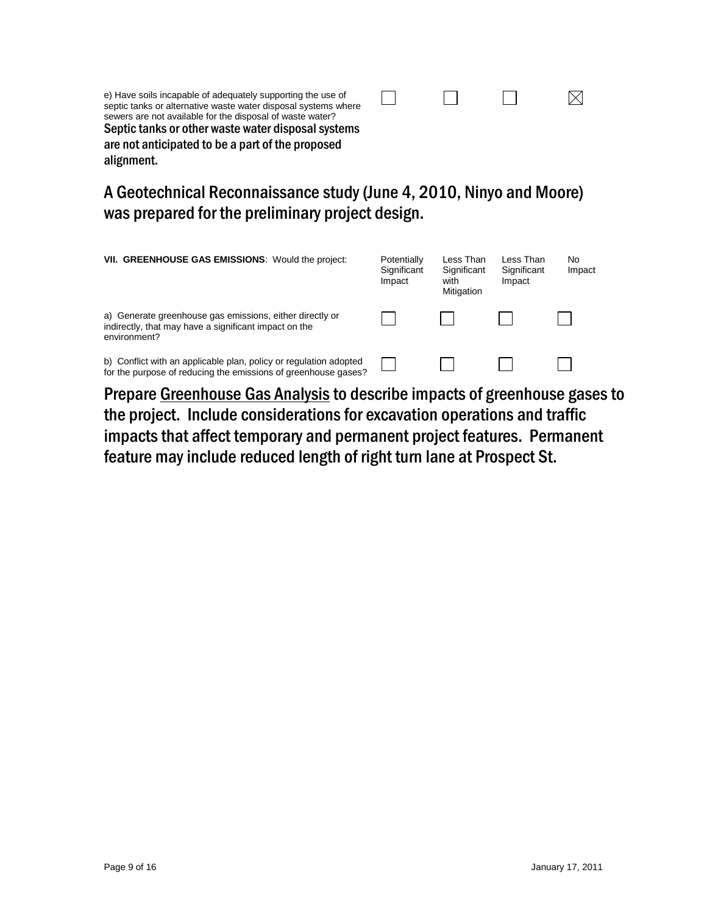| e) Have soils incapable of adequately supporting the use of<br>septic tanks or alternative waste water disposal systems where<br>sewers are not available for the disposal of waste water?<br>Septic tanks or other waste water disposal systems<br>are not anticipated to be a part of the proposed<br>alignment. |  |  |
|--------------------------------------------------------------------------------------------------------------------------------------------------------------------------------------------------------------------------------------------------------------------------------------------------------------------|--|--|
|                                                                                                                                                                                                                                                                                                                    |  |  |

## A Geotechnical Reconnaissance study (June 4, 2010, Ninyo and Moore) was prepared for the preliminary project design.

| VII. GREENHOUSE GAS EMISSIONS: Would the project:                                                                                   | Potentially<br>Significant<br>Impact | Less Than<br>Significant<br>with<br>Mitigation | Less Than<br>Significant<br>Impact | No<br>Impact |
|-------------------------------------------------------------------------------------------------------------------------------------|--------------------------------------|------------------------------------------------|------------------------------------|--------------|
| a) Generate greenhouse gas emissions, either directly or<br>indirectly, that may have a significant impact on the<br>environment?   |                                      |                                                |                                    |              |
| b) Conflict with an applicable plan, policy or regulation adopted<br>for the purpose of reducing the emissions of greenhouse gases? |                                      |                                                |                                    |              |

Prepare Greenhouse Gas Analysis to describe impacts of greenhouse gases to the project. Include considerations for excavation operations and traffic impacts that affect temporary and permanent project features. Permanent feature may include reduced length of right turn lane at Prospect St.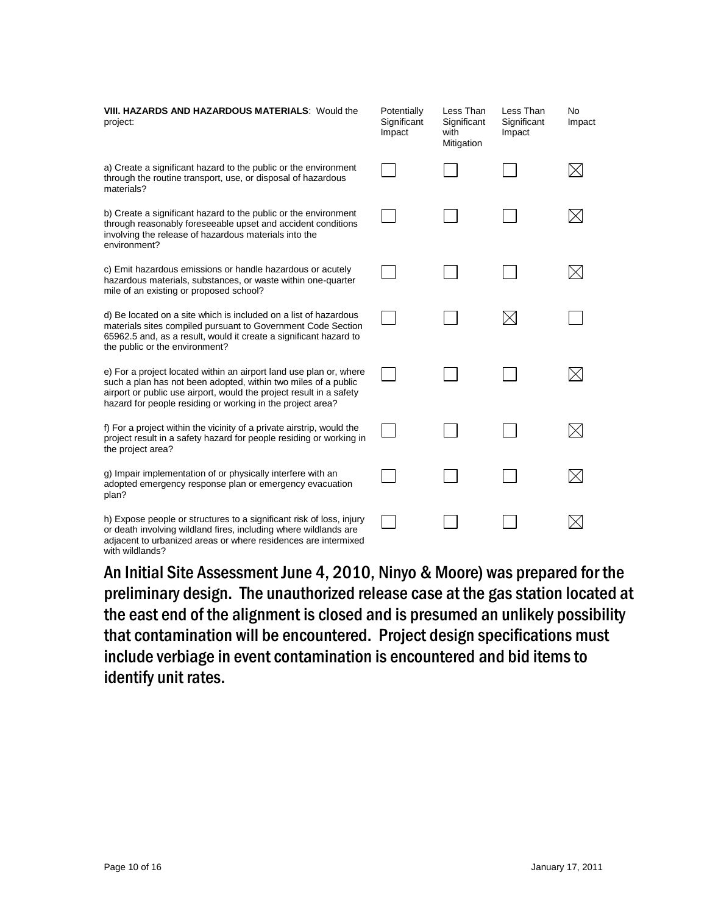| VIII. HAZARDS AND HAZARDOUS MATERIALS: Would the<br>project:                                                                                                                                                                                                              | Potentially<br>Significant<br>Impact | Less Than<br>Significant<br>with<br>Mitigation | Less Than<br>Significant<br>Impact | No<br>Impact |
|---------------------------------------------------------------------------------------------------------------------------------------------------------------------------------------------------------------------------------------------------------------------------|--------------------------------------|------------------------------------------------|------------------------------------|--------------|
| a) Create a significant hazard to the public or the environment<br>through the routine transport, use, or disposal of hazardous<br>materials?                                                                                                                             |                                      |                                                |                                    |              |
| b) Create a significant hazard to the public or the environment<br>through reasonably foreseeable upset and accident conditions<br>involving the release of hazardous materials into the<br>environment?                                                                  |                                      |                                                |                                    |              |
| c) Emit hazardous emissions or handle hazardous or acutely<br>hazardous materials, substances, or waste within one-quarter<br>mile of an existing or proposed school?                                                                                                     |                                      |                                                |                                    |              |
| d) Be located on a site which is included on a list of hazardous<br>materials sites compiled pursuant to Government Code Section<br>65962.5 and, as a result, would it create a significant hazard to<br>the public or the environment?                                   |                                      |                                                |                                    |              |
| e) For a project located within an airport land use plan or, where<br>such a plan has not been adopted, within two miles of a public<br>airport or public use airport, would the project result in a safety<br>hazard for people residing or working in the project area? |                                      |                                                |                                    |              |
| f) For a project within the vicinity of a private airstrip, would the<br>project result in a safety hazard for people residing or working in<br>the project area?                                                                                                         |                                      |                                                |                                    |              |
| g) Impair implementation of or physically interfere with an<br>adopted emergency response plan or emergency evacuation<br>plan?                                                                                                                                           |                                      |                                                |                                    |              |
| h) Expose people or structures to a significant risk of loss, injury<br>or death involving wildland fires, including where wildlands are<br>adjacent to urbanized areas or where residences are intermixed<br>with wildlands?                                             |                                      |                                                |                                    |              |

An Initial Site Assessment June 4, 2010, Ninyo & Moore) was prepared for the preliminary design. The unauthorized release case at the gas station located at the east end of the alignment is closed and is presumed an unlikely possibility that contamination will be encountered. Project design specifications must include verbiage in event contamination is encountered and bid items to identify unit rates.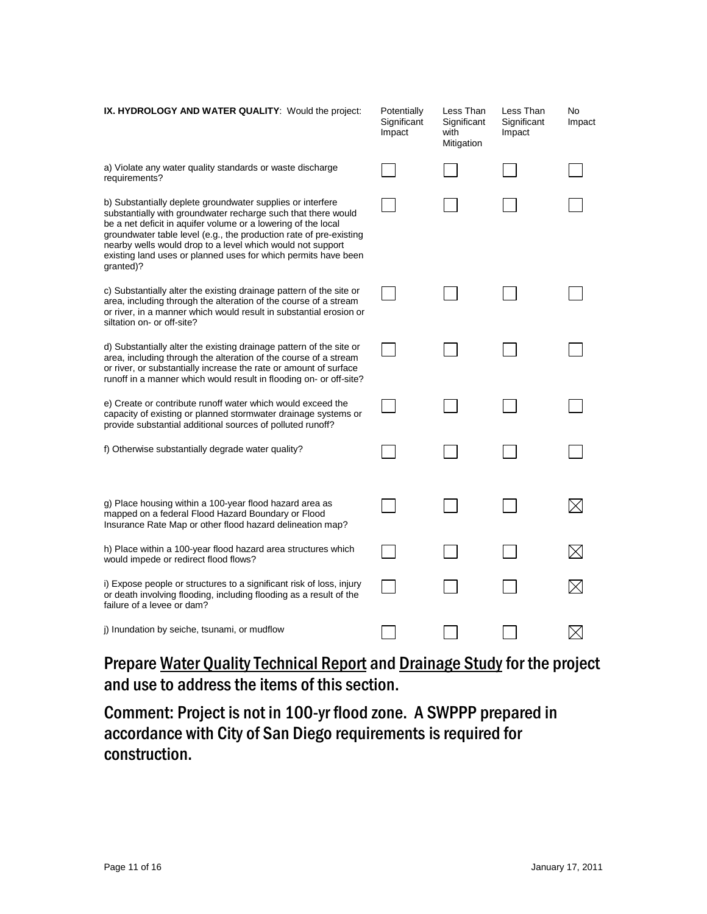| IX. HYDROLOGY AND WATER QUALITY: Would the project:                                                                                                                                                                                                                                                                                                                                                             | Potentially<br>Significant<br>Impact | Less Than<br>Significant<br>with<br>Mitigation | Less Than<br>Significant<br>Impact | No<br>Impact |
|-----------------------------------------------------------------------------------------------------------------------------------------------------------------------------------------------------------------------------------------------------------------------------------------------------------------------------------------------------------------------------------------------------------------|--------------------------------------|------------------------------------------------|------------------------------------|--------------|
| a) Violate any water quality standards or waste discharge<br>requirements?                                                                                                                                                                                                                                                                                                                                      |                                      |                                                |                                    |              |
| b) Substantially deplete groundwater supplies or interfere<br>substantially with groundwater recharge such that there would<br>be a net deficit in aquifer volume or a lowering of the local<br>groundwater table level (e.g., the production rate of pre-existing<br>nearby wells would drop to a level which would not support<br>existing land uses or planned uses for which permits have been<br>granted)? |                                      |                                                |                                    |              |
| c) Substantially alter the existing drainage pattern of the site or<br>area, including through the alteration of the course of a stream<br>or river, in a manner which would result in substantial erosion or<br>siltation on- or off-site?                                                                                                                                                                     |                                      |                                                |                                    |              |
| d) Substantially alter the existing drainage pattern of the site or<br>area, including through the alteration of the course of a stream<br>or river, or substantially increase the rate or amount of surface<br>runoff in a manner which would result in flooding on- or off-site?                                                                                                                              |                                      |                                                |                                    |              |
| e) Create or contribute runoff water which would exceed the<br>capacity of existing or planned stormwater drainage systems or<br>provide substantial additional sources of polluted runoff?                                                                                                                                                                                                                     |                                      |                                                |                                    |              |
| f) Otherwise substantially degrade water quality?                                                                                                                                                                                                                                                                                                                                                               |                                      |                                                |                                    |              |
| g) Place housing within a 100-year flood hazard area as<br>mapped on a federal Flood Hazard Boundary or Flood<br>Insurance Rate Map or other flood hazard delineation map?                                                                                                                                                                                                                                      |                                      |                                                |                                    |              |
| h) Place within a 100-year flood hazard area structures which<br>would impede or redirect flood flows?                                                                                                                                                                                                                                                                                                          |                                      |                                                |                                    |              |
| i) Expose people or structures to a significant risk of loss, injury<br>or death involving flooding, including flooding as a result of the<br>failure of a levee or dam?                                                                                                                                                                                                                                        |                                      |                                                |                                    |              |
| j) Inundation by seiche, tsunami, or mudflow                                                                                                                                                                                                                                                                                                                                                                    |                                      |                                                |                                    |              |

## Prepare Water Quality Technical Report and Drainage Study for the project and use to address the items of this section.

Comment: Project is not in 100-yr flood zone. A SWPPP prepared in accordance with City of San Diego requirements is required for construction.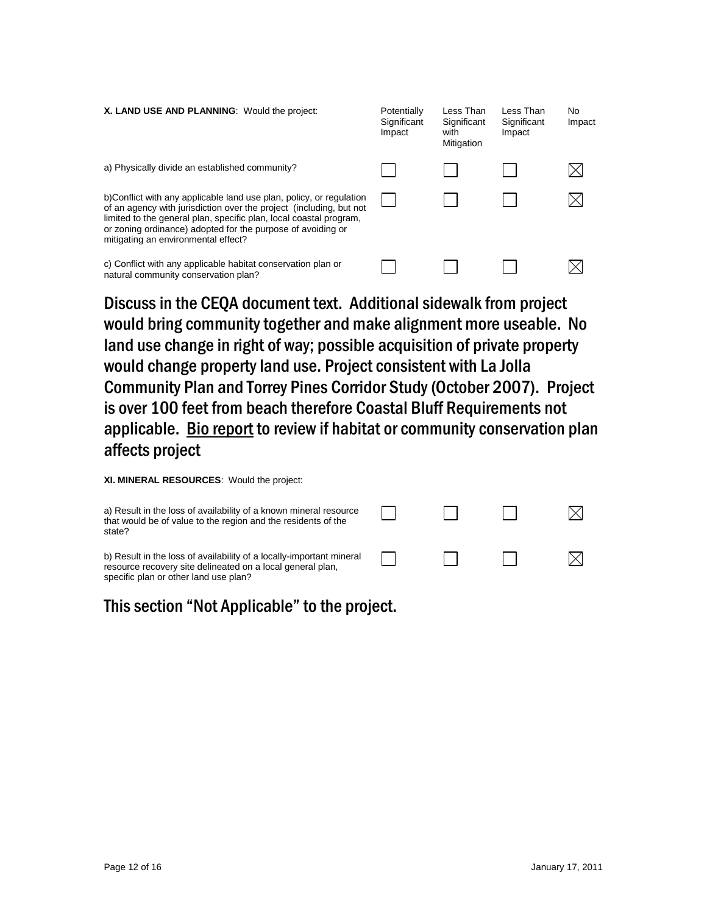| X. LAND USE AND PLANNING: Would the project:                                                                                                                                                                                                                                                                           | Potentially<br>Significant<br>Impact | Less Than<br>Significant<br>with<br>Mitigation | Less Than<br>Significant<br>Impact | No<br>Impact |
|------------------------------------------------------------------------------------------------------------------------------------------------------------------------------------------------------------------------------------------------------------------------------------------------------------------------|--------------------------------------|------------------------------------------------|------------------------------------|--------------|
| a) Physically divide an established community?                                                                                                                                                                                                                                                                         |                                      |                                                |                                    |              |
| b)Conflict with any applicable land use plan, policy, or regulation<br>of an agency with jurisdiction over the project (including, but not<br>limited to the general plan, specific plan, local coastal program,<br>or zoning ordinance) adopted for the purpose of avoiding or<br>mitigating an environmental effect? |                                      |                                                |                                    |              |
| c) Conflict with any applicable habitat conservation plan or<br>natural community conservation plan?                                                                                                                                                                                                                   |                                      |                                                |                                    |              |

Discuss in the CEQA document text. Additional sidewalk from project would bring community together and make alignment more useable. No land use change in right of way; possible acquisition of private property would change property land use. Project consistent with La Jolla Community Plan and Torrey Pines Corridor Study (October 2007). Project is over 100 feet from beach therefore Coastal Bluff Requirements not applicable. Bio report to review if habitat or community conservation plan affects project

**XI. MINERAL RESOURCES**: Would the project:

| a) Result in the loss of availability of a known mineral resource<br>that would be of value to the region and the residents of the<br>state?                                |  |  |
|-----------------------------------------------------------------------------------------------------------------------------------------------------------------------------|--|--|
| b) Result in the loss of availability of a locally-important mineral<br>resource recovery site delineated on a local general plan,<br>specific plan or other land use plan? |  |  |

This section "Not Applicable" to the project.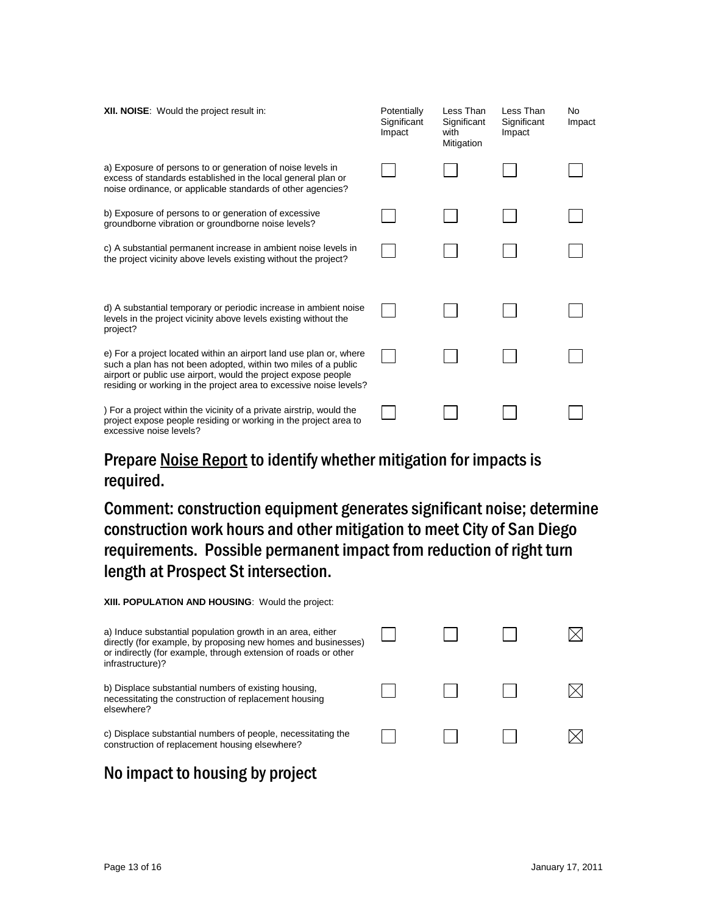| XII. NOISE: Would the project result in:                                                                                                                                                                                                                                     | Potentially<br>Significant<br>Impact | Less Than<br>Significant<br>with<br>Mitigation | Less Than<br>Significant<br>Impact | No.<br>Impact |
|------------------------------------------------------------------------------------------------------------------------------------------------------------------------------------------------------------------------------------------------------------------------------|--------------------------------------|------------------------------------------------|------------------------------------|---------------|
| a) Exposure of persons to or generation of noise levels in<br>excess of standards established in the local general plan or<br>noise ordinance, or applicable standards of other agencies?                                                                                    |                                      |                                                |                                    |               |
| b) Exposure of persons to or generation of excessive<br>groundborne vibration or groundborne noise levels?                                                                                                                                                                   |                                      |                                                |                                    |               |
| c) A substantial permanent increase in ambient noise levels in<br>the project vicinity above levels existing without the project?                                                                                                                                            |                                      |                                                |                                    |               |
| d) A substantial temporary or periodic increase in ambient noise<br>levels in the project vicinity above levels existing without the<br>project?                                                                                                                             |                                      |                                                |                                    |               |
| e) For a project located within an airport land use plan or, where<br>such a plan has not been adopted, within two miles of a public<br>airport or public use airport, would the project expose people<br>residing or working in the project area to excessive noise levels? |                                      |                                                |                                    |               |
| ) For a project within the vicinity of a private airstrip, would the<br>project expose people residing or working in the project area to<br>excessive noise levels?                                                                                                          |                                      |                                                |                                    |               |

#### Prepare Noise Report to identify whether mitigation for impacts is required.

Comment: construction equipment generates significant noise; determine construction work hours and other mitigation to meet City of San Diego requirements. Possible permanent impact from reduction of right turn length at Prospect St intersection.

| XIII. POPULATION AND HOUSING: Would the project:                                                                                                                                                                   |  |  |
|--------------------------------------------------------------------------------------------------------------------------------------------------------------------------------------------------------------------|--|--|
| a) Induce substantial population growth in an area, either<br>directly (for example, by proposing new homes and businesses)<br>or indirectly (for example, through extension of roads or other<br>infrastructure)? |  |  |
| b) Displace substantial numbers of existing housing.<br>necessitating the construction of replacement housing<br>elsewhere?                                                                                        |  |  |
| c) Displace substantial numbers of people, necessitating the<br>construction of replacement housing elsewhere?                                                                                                     |  |  |

## No impact to housing by project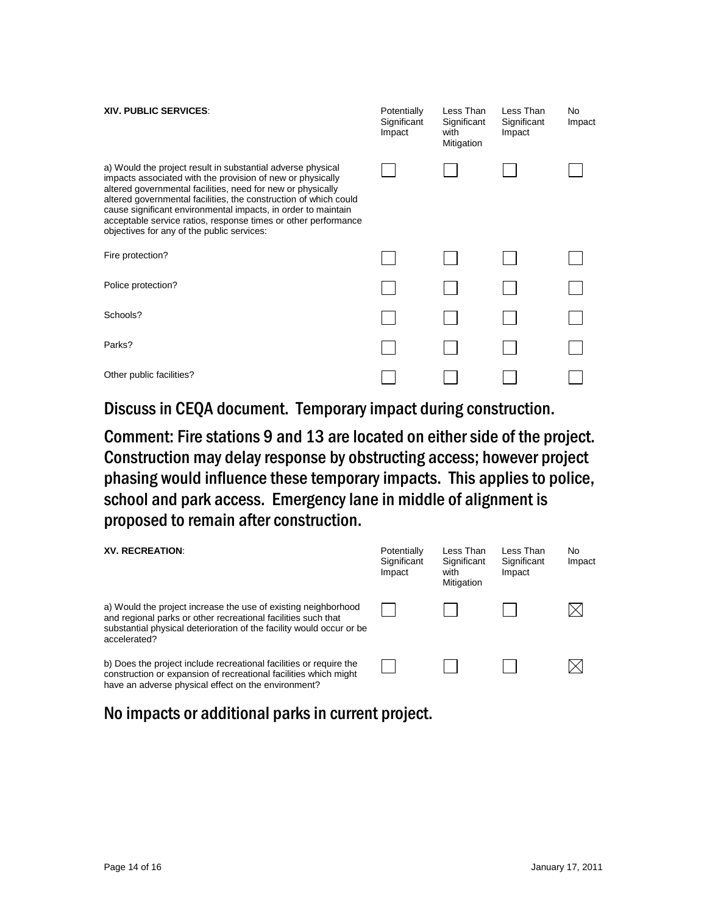| <b>XIV. PUBLIC SERVICES.</b>                                                                                                                                                                                                                                                                                                                                                                                                                  | Potentially<br>Significant<br>Impact | Less Than<br>Significant<br>with<br>Mitigation | Less Than<br>Significant<br>Impact | No<br>Impact |
|-----------------------------------------------------------------------------------------------------------------------------------------------------------------------------------------------------------------------------------------------------------------------------------------------------------------------------------------------------------------------------------------------------------------------------------------------|--------------------------------------|------------------------------------------------|------------------------------------|--------------|
| a) Would the project result in substantial adverse physical<br>impacts associated with the provision of new or physically<br>altered governmental facilities, need for new or physically<br>altered governmental facilities, the construction of which could<br>cause significant environmental impacts, in order to maintain<br>acceptable service ratios, response times or other performance<br>objectives for any of the public services: |                                      |                                                |                                    |              |
| Fire protection?                                                                                                                                                                                                                                                                                                                                                                                                                              |                                      |                                                |                                    |              |
| Police protection?                                                                                                                                                                                                                                                                                                                                                                                                                            |                                      |                                                |                                    |              |
| Schools?                                                                                                                                                                                                                                                                                                                                                                                                                                      |                                      |                                                |                                    |              |
| Parks?                                                                                                                                                                                                                                                                                                                                                                                                                                        |                                      |                                                |                                    |              |
| Other public facilities?                                                                                                                                                                                                                                                                                                                                                                                                                      |                                      |                                                |                                    |              |

Discuss in CEQA document. Temporary impact during construction.

Comment: Fire stations 9 and 13 are located on either side of the project. Construction may delay response by obstructing access; however project phasing would influence these temporary impacts. This applies to police, school and park access. Emergency lane in middle of alignment is proposed to remain after construction.

| <b>XV. RECREATION:</b>                                                                                                                                                                                                  | Potentially<br>Significant<br>Impact | Less Than<br>Significant<br>with<br>Mitigation | Less Than<br>Significant<br>Impact | No.<br>Impact |
|-------------------------------------------------------------------------------------------------------------------------------------------------------------------------------------------------------------------------|--------------------------------------|------------------------------------------------|------------------------------------|---------------|
| a) Would the project increase the use of existing neighborhood<br>and regional parks or other recreational facilities such that<br>substantial physical deterioration of the facility would occur or be<br>accelerated? |                                      |                                                |                                    |               |
| b) Does the project include recreational facilities or require the<br>construction or expansion of recreational facilities which might<br>have an adverse physical effect on the environment?                           |                                      |                                                |                                    |               |

#### No impacts or additional parks in current project.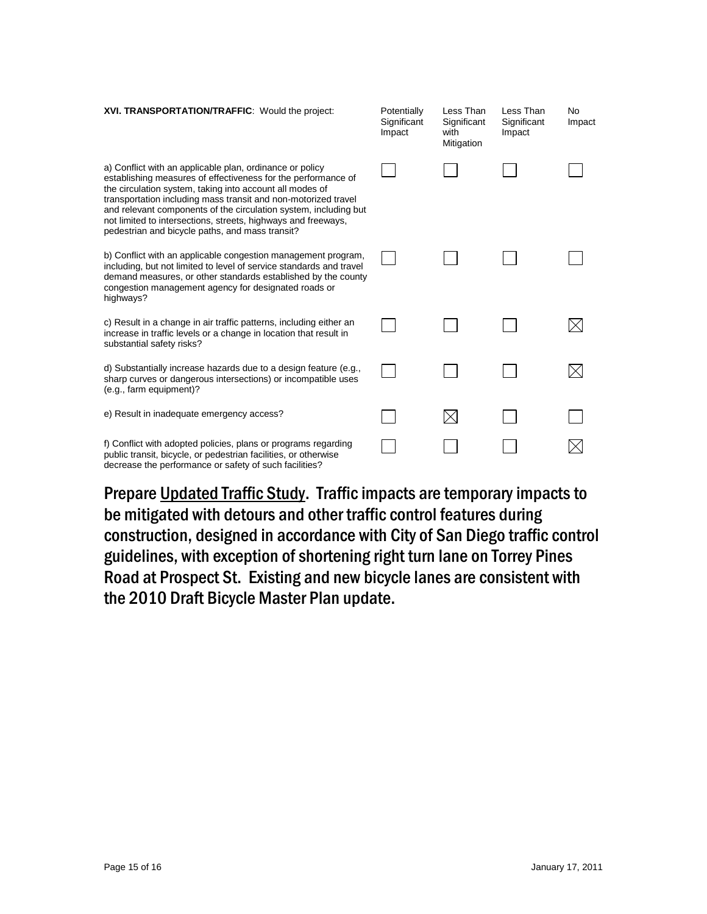| XVI. TRANSPORTATION/TRAFFIC: Would the project:                                                                                                                                                                                                                                                                                                                                                                                                 | Potentially<br>Significant<br>Impact | Less Than<br>Significant<br>with<br>Mitigation | Less Than<br>Significant<br>Impact | <b>No</b><br>Impact |
|-------------------------------------------------------------------------------------------------------------------------------------------------------------------------------------------------------------------------------------------------------------------------------------------------------------------------------------------------------------------------------------------------------------------------------------------------|--------------------------------------|------------------------------------------------|------------------------------------|---------------------|
| a) Conflict with an applicable plan, ordinance or policy<br>establishing measures of effectiveness for the performance of<br>the circulation system, taking into account all modes of<br>transportation including mass transit and non-motorized travel<br>and relevant components of the circulation system, including but<br>not limited to intersections, streets, highways and freeways,<br>pedestrian and bicycle paths, and mass transit? |                                      |                                                |                                    |                     |
| b) Conflict with an applicable congestion management program,<br>including, but not limited to level of service standards and travel<br>demand measures, or other standards established by the county<br>congestion management agency for designated roads or<br>highways?                                                                                                                                                                      |                                      |                                                |                                    |                     |
| c) Result in a change in air traffic patterns, including either an<br>increase in traffic levels or a change in location that result in<br>substantial safety risks?                                                                                                                                                                                                                                                                            |                                      |                                                |                                    |                     |
| d) Substantially increase hazards due to a design feature (e.g.,<br>sharp curves or dangerous intersections) or incompatible uses<br>(e.g., farm equipment)?                                                                                                                                                                                                                                                                                    |                                      |                                                |                                    |                     |
| e) Result in inadequate emergency access?                                                                                                                                                                                                                                                                                                                                                                                                       |                                      |                                                |                                    |                     |
| f) Conflict with adopted policies, plans or programs regarding<br>public transit, bicycle, or pedestrian facilities, or otherwise<br>decrease the performance or safety of such facilities?                                                                                                                                                                                                                                                     |                                      |                                                |                                    |                     |

Prepare Updated Traffic Study. Traffic impacts are temporary impacts to be mitigated with detours and other traffic control features during construction, designed in accordance with City of San Diego traffic control guidelines, with exception of shortening right turn lane on Torrey Pines Road at Prospect St. Existing and new bicycle lanes are consistent with the 2010 Draft Bicycle Master Plan update.